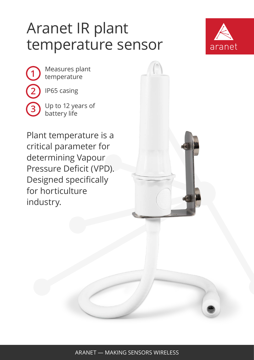## Aranet IR plant temperature sensor



**1 2** Measures plant temperature IP65 casing

**3**

Up to 12 years of battery life

Plant temperature is a critical parameter for determining Vapour Pressure Deficit (VPD). Designed specifically for horticulture industry.